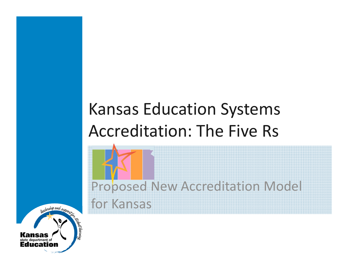#### Kansas Education Systems Accreditation: The Five Rs

Proposed New Accreditation Model for Kansas

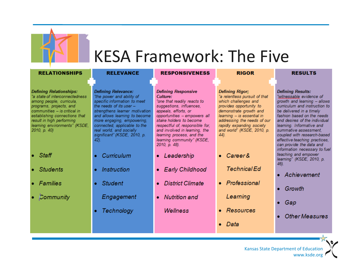

#### KESA Framework: The Five

| <b>RELATIONSHIPS</b>                                                                                                                                                                                                                                                   | <b>RELEVANCE</b>                                                                                                                                                                                                                                                                                                          | <b>RESPONSIVENESS</b>                                                                                                                                                                                                                                                                                                                | <b>RIGOR</b>                                                                                                                                                                                                                                                         | <b>RESULTS</b>                                                                                                                                                                                                                                                                                                                                                     |
|------------------------------------------------------------------------------------------------------------------------------------------------------------------------------------------------------------------------------------------------------------------------|---------------------------------------------------------------------------------------------------------------------------------------------------------------------------------------------------------------------------------------------------------------------------------------------------------------------------|--------------------------------------------------------------------------------------------------------------------------------------------------------------------------------------------------------------------------------------------------------------------------------------------------------------------------------------|----------------------------------------------------------------------------------------------------------------------------------------------------------------------------------------------------------------------------------------------------------------------|--------------------------------------------------------------------------------------------------------------------------------------------------------------------------------------------------------------------------------------------------------------------------------------------------------------------------------------------------------------------|
| <b>Defining Relationships:</b><br>"a state of interconnectedness<br>among people, curricula,<br>programs, projects, and<br>communities - is critical in<br>establishing connections that<br>result in high performing<br>learning environments" (KSDE,<br>2010, p. 40) | <b>Defining Relevance:</b><br>"the power and ability of<br>specific information to meet<br>the needs of its user $-$<br>strengthens learner motivation<br>and allows learning to become<br>more engaging, empowering,<br>connected, applicable to the<br>real world, and socially<br>significant" (KSDE, 2010, p.<br>42). | <b>Defining Responsive</b><br>Culture:<br>"one that readily reacts to<br>suggestions, influences,<br>appeals, efforts, or<br>opportunities - empowers all<br>stake holders to become<br>respectful of, responsible for,<br>and involved in learning, the<br>learning process, and the<br>learning community" (KSDE,<br>2010, p. 48). | <b>Defining Rigor:</b><br>"a relentless pursuit of that<br>which challenges and<br>provides opportunity to<br>demonstrate growth and<br>learning - is essential in<br>addressing the needs of our<br>rapidly expanding society<br>and world" (KSDE, 2010, p.<br>44). | <b>Defining Results:</b><br>"witnessable evidence of<br>growth and learning - allows<br>curriculum and instruction to<br>be delivered in a timely<br>fashion based on the needs<br>and desires of the individual<br>learning. Informative and<br>summative assessment.<br>coupled with research-based<br>effective teaching practices,<br>can provide the data and |
| $\bullet$ Staff<br>• Students                                                                                                                                                                                                                                          | Curriculum<br><i><b>Instruction</b></i>                                                                                                                                                                                                                                                                                   | Leadership<br>۰<br><b>Early Childhood</b><br>$\bullet$                                                                                                                                                                                                                                                                               | • Career &<br><b>Technical Ed</b>                                                                                                                                                                                                                                    | information necessary to fuel<br>teaching and empower<br>learning" (KSDE, 2010, p.<br>46).                                                                                                                                                                                                                                                                         |
| • Families<br>• Community                                                                                                                                                                                                                                              | <b>Student</b><br>Engagement                                                                                                                                                                                                                                                                                              | <b>District Climate</b><br>$\bullet$<br><b>Nutrition</b> and<br>$\bullet$                                                                                                                                                                                                                                                            | • Professional<br>Learning                                                                                                                                                                                                                                           | Achievement<br>Growth<br>۰                                                                                                                                                                                                                                                                                                                                         |
|                                                                                                                                                                                                                                                                        | <b>Technology</b>                                                                                                                                                                                                                                                                                                         | <b>Wellness</b>                                                                                                                                                                                                                                                                                                                      | • Resources<br>Data                                                                                                                                                                                                                                                  | - Gap<br>۰<br><b>Other Measures</b>                                                                                                                                                                                                                                                                                                                                |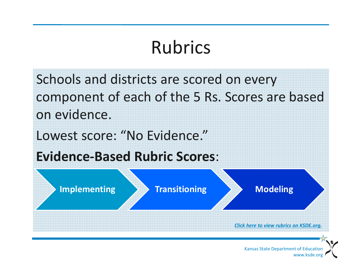# Rubrics

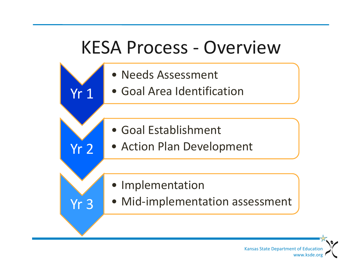## KESA Process ‐ Overview

• Needs Assessment

Yr 1

Yr 2

Yr 3

- Goal Area Identification
- Goal Establishment
- Action Plan Development
- Implementation
- Mid‐implementation assessment

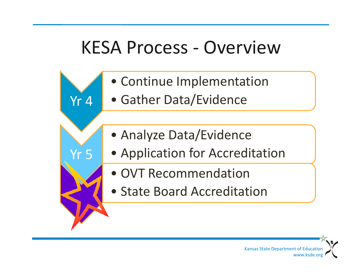# KESA Process ‐ Overview

- Continue Implementation
- Gather Data/Evidence

Yr 4

Yr 5

- Analyze Data/Evidence
- Application for Accreditation
	- OVT Recommendation
	- State Board Accreditation

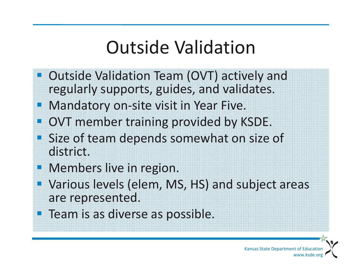# Outside Validation

- $\mathcal{L}_{\mathcal{A}}$ **Dutside Validation Team (OVT) actively and** regularly supports, guides, and validates.
- $\mathbb{R}^2$ Mandatory on‐site visit in Year Five.
- $\mathbb{R}^2$ **OVT member training provided by KSDE.**
- $\mathbb{R}^2$ **Size of team depends somewhat on size of** district.
- **Nembers live in region.**

a.

an<br>M

- $\mathbb{R}^2$  Various levels (elem, MS, HS) and subject areas are represented.
- **Team is as diverse as possible.**

Kansas State Department of Education www.ksde.org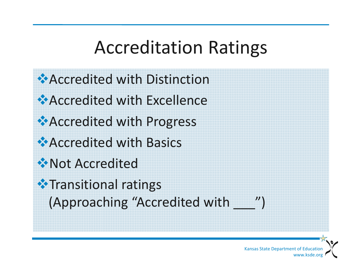### Accreditation Ratings



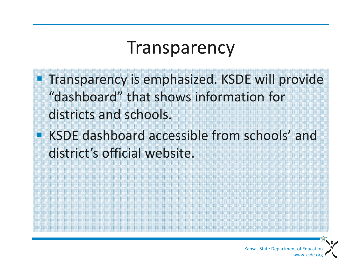#### Transparency

**Transparency is emphasized. KSDE will provide** "dashboard" that shows information for districts and schools.

**KSDE dashboard accessible from schools' and** district's official website.

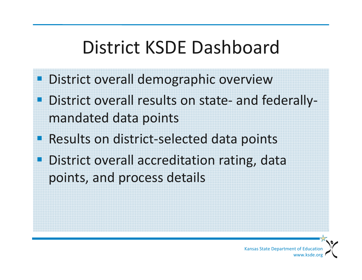### District KSDE Dashboard

- **District overall demographic overview**
- eri<br>19 ■ District overall results on state- and federallymandated data points
- Results on district-selected data points
- eri<br>19 **District overall accreditation rating, data** points, and process details

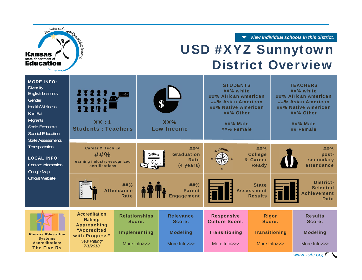*View individual schools in this district.*



| <b>MORE INFO:</b><br><b>Diversity</b><br><b>English Learners</b><br>Gender<br>Health/Wellness<br>Kan-Eat<br><b>Migrants</b><br>Socio-Economic<br><b>Special Education</b><br><b>State Assessments</b> | 212222<br>22221<br>XX:1<br><b>Students: Teachers</b>                                |                                  | ¢<br>XX%<br><b>Low Income</b> |                                               | <b>STUDENTS</b><br>$\#$ #% white<br>##% African American<br>##% Asian American<br>##% Native American<br>##% Other<br>##% Male<br>##% Female |                                                     | <b>TEACHERS</b><br>##% white<br>##% African American<br>##% Asian American<br>##% Native American<br>##% Other<br>##% Male<br>## Female |                                                                          |
|-------------------------------------------------------------------------------------------------------------------------------------------------------------------------------------------------------|-------------------------------------------------------------------------------------|----------------------------------|-------------------------------|-----------------------------------------------|----------------------------------------------------------------------------------------------------------------------------------------------|-----------------------------------------------------|-----------------------------------------------------------------------------------------------------------------------------------------|--------------------------------------------------------------------------|
| Transportation<br><b>LOCAL INFO:</b><br><b>Contact Information</b><br>Google Map                                                                                                                      | <b>Career &amp; Tech Ed</b><br>##%<br>earning industry-recognized<br>certifications |                                  | Diploma                       | ##%<br><b>Graduation</b><br>Rate<br>(4 years) | GUCCES.                                                                                                                                      | ##%<br><b>College</b><br>& Career<br><b>Ready</b>   |                                                                                                                                         | ##%<br>post-<br>secondary<br>attendance                                  |
| <b>Official Website</b>                                                                                                                                                                               |                                                                                     | ##%<br><b>Attendance</b><br>Rate |                               | ##%<br><b>Parent</b><br><b>Engagement</b>     |                                                                                                                                              | <b>State</b><br><b>Assessment</b><br><b>Results</b> |                                                                                                                                         | <b>District-</b><br><b>Selected</b><br><b>Achievement</b><br><b>Data</b> |
|                                                                                                                                                                                                       | <b>Accreditation</b><br><b>Rating:</b>                                              | <b>Relationships</b><br>Score:   |                               | <b>Relevance</b><br>Score:                    | <b>Responsive</b><br><b>Culture Score:</b>                                                                                                   | <b>Rigor</b><br>Score:                              |                                                                                                                                         | <b>Results</b><br>Score:                                                 |
| <b>Kansas Education</b><br><b>Systems</b>                                                                                                                                                             | <b>Approaching</b><br>"Accredited<br>with Progress"<br><b>New Rating:</b>           | <b>Implementing</b>              |                               | <b>Modeling</b>                               | <b>Transitioning</b>                                                                                                                         | <b>Transitioning</b>                                |                                                                                                                                         | <b>Modeling</b>                                                          |
| <b>Accreditation:</b><br><b>The Five Rs</b>                                                                                                                                                           | 7/1/2018                                                                            | More Info>>>                     |                               | More Info>>>                                  | More Info>>>                                                                                                                                 | More $lnf$ $>>$                                     |                                                                                                                                         | More Info>>><br>www.ksde.org                                             |

Dendership and supported

**Kansas** state department of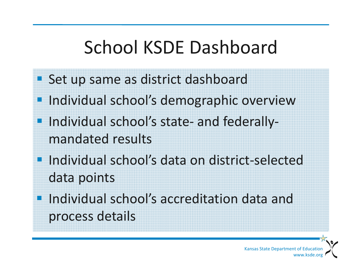# School KSDE Dashboard

- **Set up same as district dashboard**
- T. Individual school's demographic overview
- Individual school's state- and federallymandated results
- Individual school's data on district-selected data points
- **Individual school's accreditation data and** process details

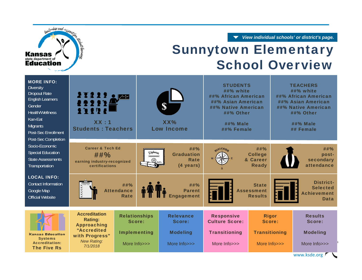*View individual schools' or district's page.*

#### Dendership and nipport **Kansas** state department of

#### Sunnytown Elementary **School Overview**

| <b>MORE INFO:</b><br><b>Diversity</b><br><b>Dropout Rate</b><br><b>English Learners</b><br>Gender<br><b>Health/Wellness</b><br>Kan-Eat<br><b>Migrants</b><br>Post-Sec Enrollment<br>Post-Sec Completion | 27222 oldes<br>22223<br>1117<br>XX:1<br><b>Students: Teachers</b>                     |                                         | $\mathbf{S}$<br>XX%<br><b>Low Income</b> |                                               | <b>STUDENTS</b><br>##% white<br>##% African American<br>##% Asian American<br>##% Native American<br>##% Other<br><b>##% Male</b><br>##% Female |                                                     | <b>TEACHERS</b><br>##% white<br>##% African American<br>##% Asian American<br>##% Native American<br>##% Other<br><b>##% Male</b><br>## Female |                                                                          |
|---------------------------------------------------------------------------------------------------------------------------------------------------------------------------------------------------------|---------------------------------------------------------------------------------------|-----------------------------------------|------------------------------------------|-----------------------------------------------|-------------------------------------------------------------------------------------------------------------------------------------------------|-----------------------------------------------------|------------------------------------------------------------------------------------------------------------------------------------------------|--------------------------------------------------------------------------|
| Socio-Economic<br><b>Special Education</b><br><b>State Assessments</b><br>Transportation                                                                                                                | <b>Career &amp; Tech Ed</b><br>##%<br>earning industry-recognized<br>certifications   |                                         | Diploma                                  | ##%<br><b>Graduation</b><br>Rate<br>(4 years) | GUCCES.                                                                                                                                         | ##%<br><b>College</b><br>& Career<br><b>Ready</b>   |                                                                                                                                                | ##%<br>post-<br>secondary<br>attendance                                  |
| <b>LOCAL INFO:</b><br><b>Contact Information</b><br>Google Map<br><b>Official Website</b>                                                                                                               | 2222                                                                                  | ##%<br><b>Attendance</b><br><b>Rate</b> |                                          | ##%<br><b>Parent</b><br><b>Engagement</b>     |                                                                                                                                                 | <b>State</b><br><b>Assessment</b><br><b>Results</b> |                                                                                                                                                | <b>District-</b><br><b>Selected</b><br><b>Achievement</b><br><b>Data</b> |
|                                                                                                                                                                                                         | <b>Accreditation</b><br><b>Rating:</b>                                                | <b>Relationships</b><br>Score:          |                                          | <b>Relevance</b><br>Score:                    | <b>Responsive</b><br><b>Culture Score:</b>                                                                                                      | <b>Rigor</b><br>Score:                              |                                                                                                                                                | <b>Results</b><br>Score:                                                 |
| <b>Kansas Education</b><br><b>Systems</b><br><b>Accreditation:</b><br><b>The Five Rs</b>                                                                                                                | <b>Approaching</b><br>"Accredited<br>with Progress"<br><b>New Rating:</b><br>7/1/2018 | <b>Implementing</b><br>More Info>>>     | <b>Modeling</b><br>More Info>>>          |                                               | <b>Transitioning</b><br>More Info>>>                                                                                                            | <b>Transitioning</b><br>More Info>>>                |                                                                                                                                                | <b>Modeling</b><br>More Info>>>                                          |
|                                                                                                                                                                                                         |                                                                                       |                                         |                                          |                                               |                                                                                                                                                 |                                                     |                                                                                                                                                | www.ksde.org                                                             |

www.ksde.org r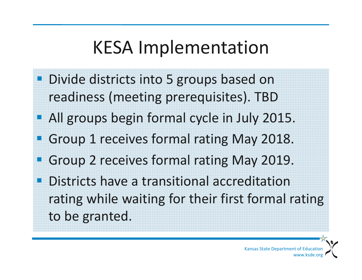### KESA Implementation

- **Divide districts into 5 groups based on** readiness (meeting prerequisites). TBD
- **All groups begin formal cycle in July 2015.**
- en<br>1 Group 1 receives formal rating May 2018.
- an<br>M Group 2 receives formal rating May 2019.
- an<br>M **• Districts have a transitional accreditation** rating while waiting for their first formal rating to be granted.

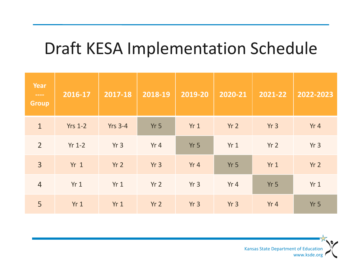#### Draft KESA Implementation Schedule

| Year<br>$\frac{1}{2} \left( \frac{1}{2} \right) \left( \frac{1}{2} \right) \left( \frac{1}{2} \right) \left( \frac{1}{2} \right) \left( \frac{1}{2} \right)$<br><b>Group</b> | 2016-17         | 2017-18         | 2018-19         | 2019-20         | 2020-21         | 2021-22         | 2022-2023       |
|------------------------------------------------------------------------------------------------------------------------------------------------------------------------------|-----------------|-----------------|-----------------|-----------------|-----------------|-----------------|-----------------|
| $\mathbf{1}$                                                                                                                                                                 | <b>Yrs 1-2</b>  | <b>Yrs 3-4</b>  | Yr <sub>5</sub> | Yr1             | Yr <sub>2</sub> | Yr3             | Yr4             |
| $\overline{2}$                                                                                                                                                               | $Yr 1-2$        | Yr <sub>3</sub> | Yr 4            | Yr <sub>5</sub> | Yr1             | Yr <sub>2</sub> | Yr <sub>3</sub> |
| $\overline{3}$                                                                                                                                                               | Yr <sub>1</sub> | Yr <sub>2</sub> | Yr <sub>3</sub> | Yr4             | Yr <sub>5</sub> | Yr1             | Yr <sub>2</sub> |
| $\overline{4}$                                                                                                                                                               | Yr1             | Yr1             | Yr <sub>2</sub> | Yr <sub>3</sub> | Yr 4            | Yr <sub>5</sub> | Yr1             |
| 5                                                                                                                                                                            | Yr1             | Yr1             | Yr <sub>2</sub> | Yr <sub>3</sub> | Yr <sub>3</sub> | Yr 4            | Yr <sub>5</sub> |

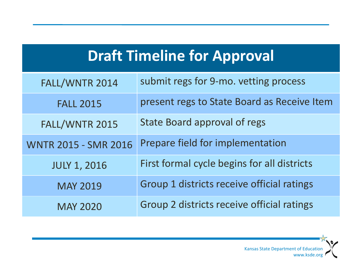| <b>Draft Timeline for Approval</b> |  |
|------------------------------------|--|
|                                    |  |
|                                    |  |
|                                    |  |

| FALL/WNTR 2014              | submit regs for 9-mo. vetting process       |
|-----------------------------|---------------------------------------------|
| <b>FALL 2015</b>            | present regs to State Board as Receive Item |
| FALL/WNTR 2015              | <b>State Board approval of regs</b>         |
| <b>WNTR 2015 - SMR 2016</b> | Prepare field for implementation            |
| <b>JULY 1, 2016</b>         | First formal cycle begins for all districts |
| <b>MAY 2019</b>             | Group 1 districts receive official ratings  |
| <b>MAY 2020</b>             | Group 2 districts receive official ratings  |